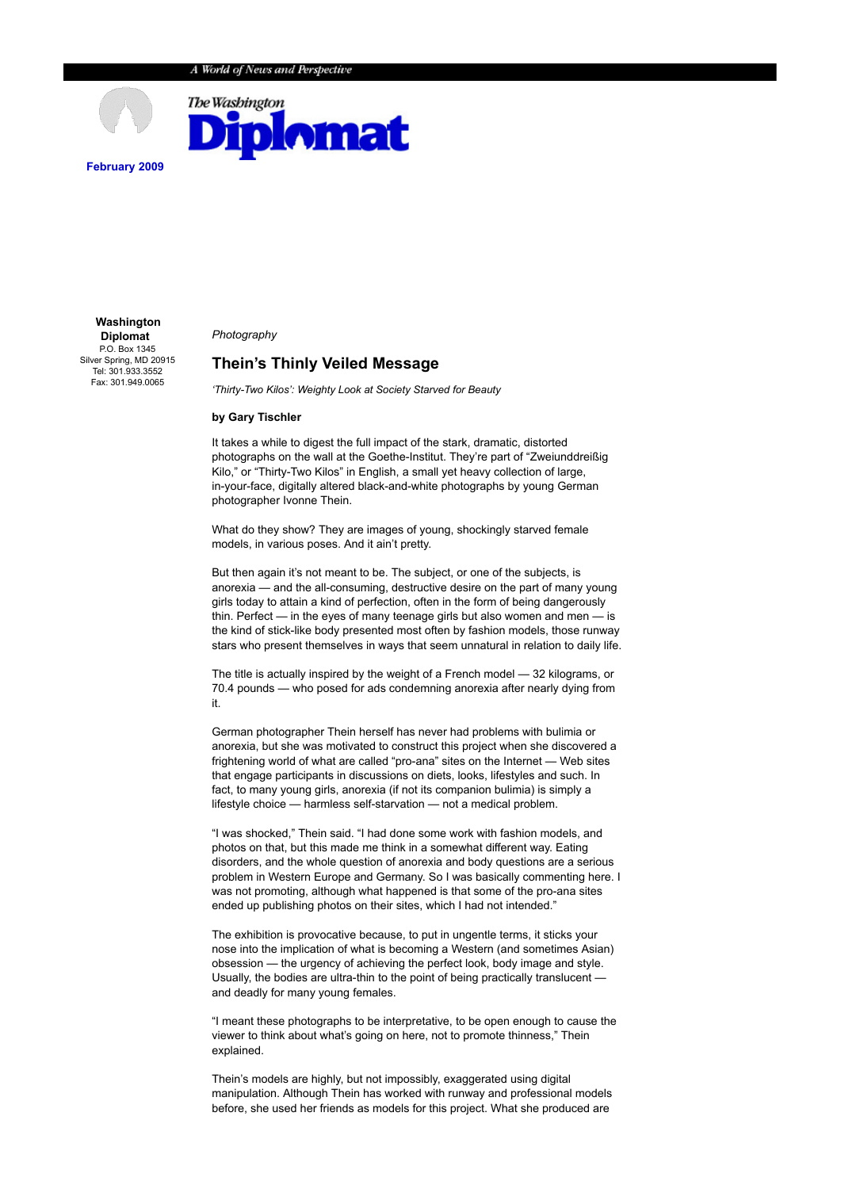

 **Washington Diplomat** P.O. Box 1345 Silver Spring, MD 20915 Tel: 301.933.3552 Fax: 301.949.0065

*Photography*

## **Thein's Thinly Veiled Message**

*'Thirty-Two Kilos': Weighty Look at Society Starved for Beauty*

## **by Gary Tischler**

It takes a while to digest the full impact of the stark, dramatic, distorted photographs on the wall at the Goethe-Institut. They're part of "Zweiunddreißig Kilo," or "Thirty-Two Kilos" in English, a small yet heavy collection of large, in-your-face, digitally altered black-and-white photographs by young German photographer Ivonne Thein.

What do they show? They are images of young, shockingly starved female models, in various poses. And it ain't pretty.

But then again it's not meant to be. The subject, or one of the subjects, is anorexia — and the all-consuming, destructive desire on the part of many young girls today to attain a kind of perfection, often in the form of being dangerously thin. Perfect — in the eyes of many teenage girls but also women and men — is the kind of stick-like body presented most often by fashion models, those runway stars who present themselves in ways that seem unnatural in relation to daily life.

The title is actually inspired by the weight of a French model — 32 kilograms, or 70.4 pounds — who posed for ads condemning anorexia after nearly dying from it.

German photographer Thein herself has never had problems with bulimia or anorexia, but she was motivated to construct this project when she discovered a frightening world of what are called "pro-ana" sites on the Internet — Web sites that engage participants in discussions on diets, looks, lifestyles and such. In fact, to many young girls, anorexia (if not its companion bulimia) is simply a lifestyle choice — harmless self-starvation — not a medical problem.

"I was shocked," Thein said. "I had done some work with fashion models, and photos on that, but this made me think in a somewhat different way. Eating disorders, and the whole question of anorexia and body questions are a serious problem in Western Europe and Germany. So I was basically commenting here. I was not promoting, although what happened is that some of the pro-ana sites ended up publishing photos on their sites, which I had not intended."

The exhibition is provocative because, to put in ungentle terms, it sticks your nose into the implication of what is becoming a Western (and sometimes Asian) obsession — the urgency of achieving the perfect look, body image and style. Usually, the bodies are ultra-thin to the point of being practically translucent and deadly for many young females.

"I meant these photographs to be interpretative, to be open enough to cause the viewer to think about what's going on here, not to promote thinness," Thein explained.

Thein's models are highly, but not impossibly, exaggerated using digital manipulation. Although Thein has worked with runway and professional models before, she used her friends as models for this project. What she produced are